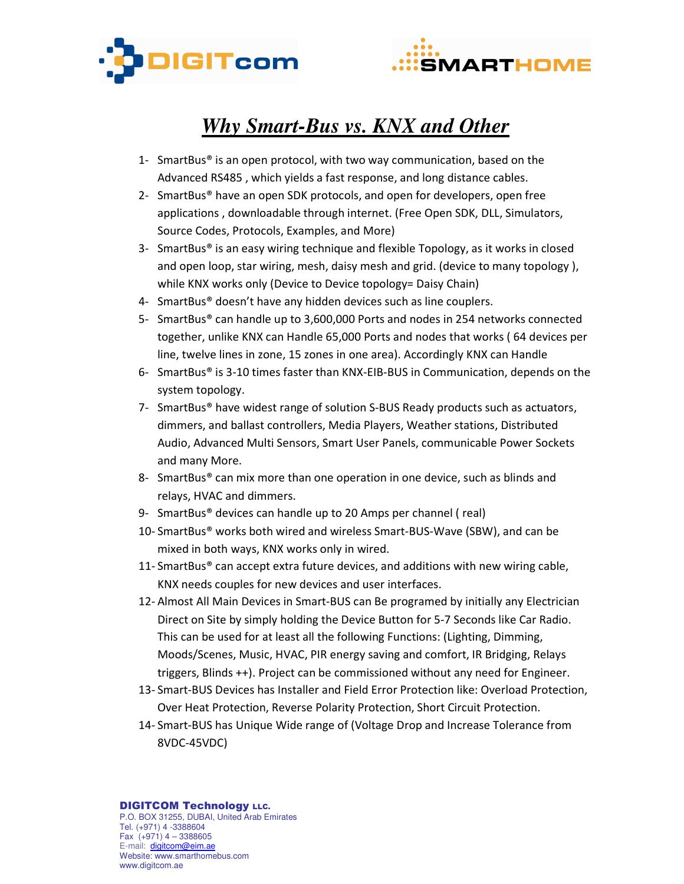



## *Why Smart-Bus vs. KNX and Other*

- 1- SmartBus® is an open protocol, with two way communication, based on the Advanced RS485 , which yields a fast response, and long distance cables.
- 2- SmartBus® have an open SDK protocols, and open for developers, open free applications , downloadable through internet. (Free Open SDK, DLL, Simulators, Source Codes, Protocols, Examples, and More)
- 3- SmartBus® is an easy wiring technique and flexible Topology, as it works in closed and open loop, star wiring, mesh, daisy mesh and grid. (device to many topology ), while KNX works only (Device to Device topology= Daisy Chain)
- 4- SmartBus® doesn't have any hidden devices such as line couplers.
- 5- SmartBus® can handle up to 3,600,000 Ports and nodes in 254 networks connected together, unlike KNX can Handle 65,000 Ports and nodes that works ( 64 devices per line, twelve lines in zone, 15 zones in one area). Accordingly KNX can Handle
- 6- SmartBus® is 3-10 times faster than KNX-EIB-BUS in Communication, depends on the system topology.
- 7- SmartBus® have widest range of solution S-BUS Ready products such as actuators, dimmers, and ballast controllers, Media Players, Weather stations, Distributed Audio, Advanced Multi Sensors, Smart User Panels, communicable Power Sockets and many More.
- 8- SmartBus® can mix more than one operation in one device, such as blinds and relays, HVAC and dimmers.
- 9- SmartBus® devices can handle up to 20 Amps per channel ( real)
- 10- SmartBus® works both wired and wireless Smart-BUS-Wave (SBW), and can be mixed in both ways, KNX works only in wired.
- 11- SmartBus® can accept extra future devices, and additions with new wiring cable, KNX needs couples for new devices and user interfaces.
- 12- Almost All Main Devices in Smart-BUS can Be programed by initially any Electrician Direct on Site by simply holding the Device Button for 5-7 Seconds like Car Radio. This can be used for at least all the following Functions: (Lighting, Dimming, Moods/Scenes, Music, HVAC, PIR energy saving and comfort, IR Bridging, Relays triggers, Blinds ++). Project can be commissioned without any need for Engineer.
- 13- Smart-BUS Devices has Installer and Field Error Protection like: Overload Protection, Over Heat Protection, Reverse Polarity Protection, Short Circuit Protection.
- 14- Smart-BUS has Unique Wide range of (Voltage Drop and Increase Tolerance from 8VDC-45VDC)

**DIGITCOM Technology LLC.** 

P.O. BOX 31255, DUBAI, United Arab Emirates Tel. (+971) 4 -3388604 Fax (+971) 4 – 3388605 E-mail: digitcom@eim.ae Website: www.smarthomebus.com www.digitcom.ae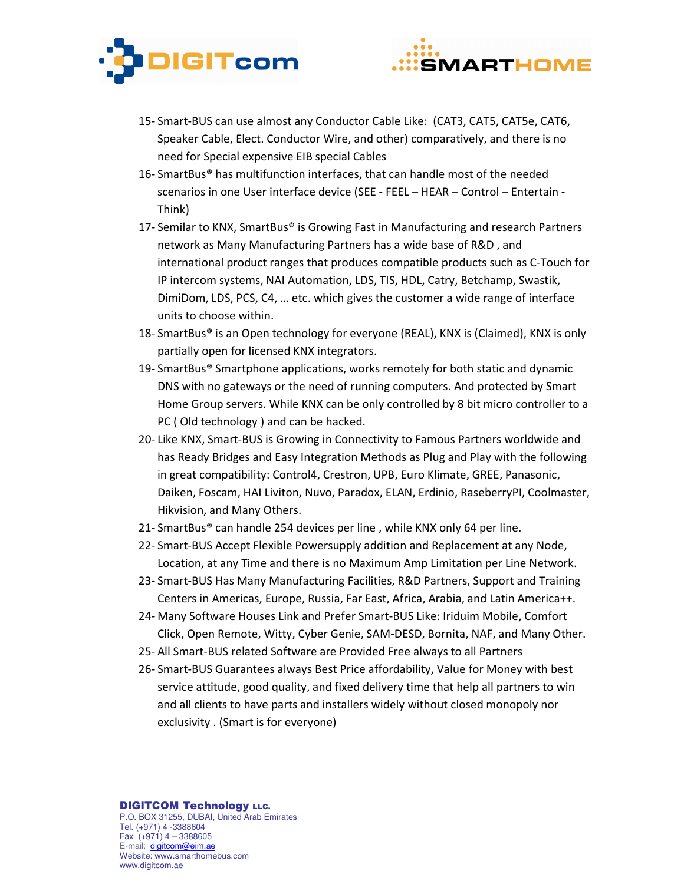



- 15- Smart-BUS can use almost any Conductor Cable Like: (CAT3, CAT5, CAT5e, CAT6, Speaker Cable, Elect. Conductor Wire, and other) comparatively, and there is no need for Special expensive EIB special Cables
- 16- SmartBus® has multifunction interfaces, that can handle most of the needed scenarios in one User interface device (SEE - FEEL – HEAR – Control – Entertain - Think)
- 17- Semilar to KNX, SmartBus® is Growing Fast in Manufacturing and research Partners network as Many Manufacturing Partners has a wide base of R&D , and international product ranges that produces compatible products such as C-Touch for IP intercom systems, NAI Automation, LDS, TIS, HDL, Catry, Betchamp, Swastik, DimiDom, LDS, PCS, C4, … etc. which gives the customer a wide range of interface units to choose within.
- 18- SmartBus® is an Open technology for everyone (REAL), KNX is (Claimed), KNX is only partially open for licensed KNX integrators.
- 19- SmartBus® Smartphone applications, works remotely for both static and dynamic DNS with no gateways or the need of running computers. And protected by Smart Home Group servers. While KNX can be only controlled by 8 bit micro controller to a PC ( Old technology ) and can be hacked.
- 20- Like KNX, Smart-BUS is Growing in Connectivity to Famous Partners worldwide and has Ready Bridges and Easy Integration Methods as Plug and Play with the following in great compatibility: Control4, Crestron, UPB, Euro Klimate, GREE, Panasonic, Daiken, Foscam, HAI Liviton, Nuvo, Paradox, ELAN, Erdinio, RaseberryPI, Coolmaster, Hikvision, and Many Others.
- 21- SmartBus® can handle 254 devices per line, while KNX only 64 per line.
- 22- Smart-BUS Accept Flexible Powersupply addition and Replacement at any Node, Location, at any Time and there is no Maximum Amp Limitation per Line Network.
- 23- Smart-BUS Has Many Manufacturing Facilities, R&D Partners, Support and Training Centers in Americas, Europe, Russia, Far East, Africa, Arabia, and Latin America++.
- 24- Many Software Houses Link and Prefer Smart-BUS Like: Iriduim Mobile, Comfort Click, Open Remote, Witty, Cyber Genie, SAM-DESD, Bornita, NAF, and Many Other.
- 25- All Smart-BUS related Software are Provided Free always to all Partners
- 26- Smart-BUS Guarantees always Best Price affordability, Value for Money with best service attitude, good quality, and fixed delivery time that help all partners to win and all clients to have parts and installers widely without closed monopoly nor exclusivity . (Smart is for everyone)

**DIGITCOM Technology LLC.** P.O. BOX 31255, DUBAI, United Arab Emirates Tel. (+971) 4 -3388604 Fax (+971) 4 – 3388605 E-mail: digitcom@eim.ae Website: www.smarthomebus.com www.digitcom.ae